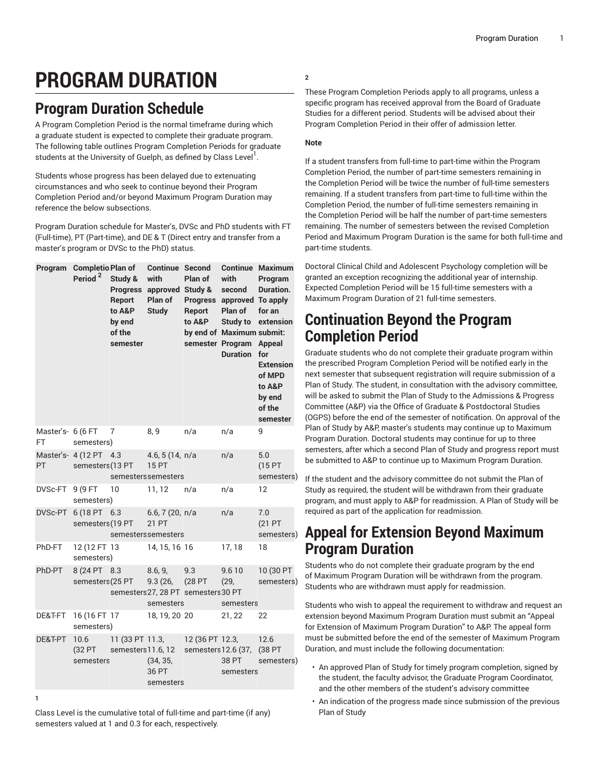# **PROGRAM DURATION**

# **Program Duration Schedule**

A Program Completion Period is the normal timeframe during which a graduate student is expected to complete their graduate program. The following table outlines Program Completion Periods for graduate students at the University of Guelph, as defined by Class Level<sup>1</sup>.

Students whose progress has been delayed due to extenuating circumstances and who seek to continue beyond their Program Completion Period and/or beyond Maximum Program Duration may reference the below subsections.

Program Duration schedule for Master's, DVSc and PhD students with FT (Full-time), PT (Part-time), and DE & T (Direct entry and transfer from a master's program or DVSc to the PhD) status.

|                         | Program Completio Plan of<br>Period <sup>2</sup> | Study &<br><b>Progress</b><br>Report<br>to A&P<br>by end<br>of the<br>semester | <b>Continue Second</b><br>with<br>approved Study &<br>Plan of<br><b>Study</b> | Plan of<br>Report<br>to A&P                          | with<br>second<br>Progress approved To apply<br>Plan of<br><b>Study to</b><br>by end of Maximum submit:<br>semester Program<br><b>Duration</b> | <b>Continue Maximum</b><br>Program<br>Duration.<br>for an<br>extension<br><b>Appeal</b><br>for<br><b>Extension</b><br>of MPD<br>to A&P<br>by end<br>of the<br>semester |
|-------------------------|--------------------------------------------------|--------------------------------------------------------------------------------|-------------------------------------------------------------------------------|------------------------------------------------------|------------------------------------------------------------------------------------------------------------------------------------------------|------------------------------------------------------------------------------------------------------------------------------------------------------------------------|
| Master's- 6 (6 FT<br>FT | semesters)                                       | 7                                                                              | 8,9                                                                           | n/a                                                  | n/a                                                                                                                                            | 9                                                                                                                                                                      |
| PT                      | Master's- 4 (12 PT 4.3<br>semesters (13 PT       |                                                                                | 4.6, 5 (14, $n/a$<br><b>15 PT</b><br>semesterssemesters                       |                                                      | n/a                                                                                                                                            | 5.0<br>(15PT<br>semesters)                                                                                                                                             |
| DVSc-FT                 | 9 (9 FT<br>semesters)                            | 10                                                                             | 11, 12                                                                        | n/a                                                  | n/a                                                                                                                                            | 12                                                                                                                                                                     |
|                         | DVSc-PT 6 (18 PT 6.3<br>semesters (19 PT         |                                                                                | 6.6, 7 (20, n/a<br>21 PT<br>semesterssemesters                                |                                                      | n/a                                                                                                                                            | 7.0<br>(21 PT<br>semesters)                                                                                                                                            |
| PhD-FT                  | 12 (12 FT 13<br>semesters)                       |                                                                                | 14, 15, 16 16                                                                 |                                                      | 17, 18                                                                                                                                         | 18                                                                                                                                                                     |
| PhD-PT                  | 8 (24 PT 8.3<br>semesters (25 PT                 |                                                                                | 8.6, 9,<br>9.3(26,<br>semesters                                               | 9.3<br>(28 PT<br>semesters 27, 28 PT semesters 30 PT | 9.610<br>(29,<br>semesters                                                                                                                     | 10 (30 PT<br>semesters)                                                                                                                                                |
| DE&T-FT                 | 16 (16 FT 17<br>semesters)                       |                                                                                | 18, 19, 20 20                                                                 |                                                      | 21, 22                                                                                                                                         | 22                                                                                                                                                                     |
| DE&T-PT                 | 10.6<br>(32 PT<br>semesters                      | 11 (33 PT 11.3,<br>semesters 11.6, 12                                          | (34, 35,<br>36 PT<br>semesters                                                | 12 (36 PT 12.3,<br>semesters 12.6 (37,               | 38 PT<br>semesters                                                                                                                             | 12.6<br>(38 PT<br>semesters)                                                                                                                                           |

**1**

Class Level is the cumulative total of full-time and part-time (if any) semesters valued at 1 and 0.3 for each, respectively.

#### **2**

These Program Completion Periods apply to all programs, unless a specific program has received approval from the Board of Graduate Studies for a different period. Students will be advised about their Program Completion Period in their offer of admission letter.

#### **Note**

If a student transfers from full-time to part-time within the Program Completion Period, the number of part-time semesters remaining in the Completion Period will be twice the number of full-time semesters remaining. If a student transfers from part-time to full-time within the Completion Period, the number of full-time semesters remaining in the Completion Period will be half the number of part-time semesters remaining. The number of semesters between the revised Completion Period and Maximum Program Duration is the same for both full-time and part-time students.

Doctoral Clinical Child and Adolescent Psychology completion will be granted an exception recognizing the additional year of internship. Expected Completion Period will be 15 full-time semesters with a Maximum Program Duration of 21 full-time semesters.

### **Continuation Beyond the Program Completion Period**

Graduate students who do not complete their graduate program within the prescribed Program Completion Period will be notified early in the next semester that subsequent registration will require submission of a Plan of Study. The student, in consultation with the advisory committee, will be asked to submit the Plan of Study to the Admissions & Progress Committee (A&P) via the Office of Graduate & Postdoctoral Studies (OGPS) before the end of the semester of notification. On approval of the Plan of Study by A&P, master's students may continue up to Maximum Program Duration. Doctoral students may continue for up to three semesters, after which a second Plan of Study and progress report must be submitted to A&P to continue up to Maximum Program Duration.

If the student and the advisory committee do not submit the Plan of Study as required, the student will be withdrawn from their graduate program, and must apply to A&P for readmission. A Plan of Study will be required as part of the application for readmission.

## **Appeal for Extension Beyond Maximum Program Duration**

Students who do not complete their graduate program by the end of Maximum Program Duration will be withdrawn from the program. Students who are withdrawn must apply for readmission.

Students who wish to appeal the requirement to withdraw and request an extension beyond Maximum Program Duration must submit an "Appeal for Extension of Maximum Program Duration" to A&P. The appeal form must be submitted before the end of the semester of Maximum Program Duration, and must include the following documentation:

- An approved Plan of Study for timely program completion, signed by the student, the faculty advisor, the Graduate Program Coordinator, and the other members of the student's advisory committee
- An indication of the progress made since submission of the previous Plan of Study